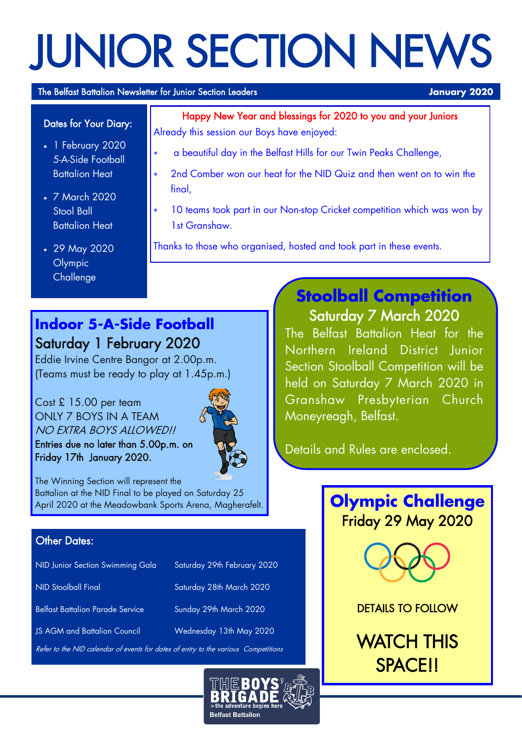# JUNIOR SECTION NEWS

#### The Belfast Battalion Newsletter for Junior Section Leaders **January 2020**

#### Dates for Your Diary:

- 1 February 2020 5-A-Side Football Battalion Heat
- 7 March 2020 Stool Ball Battalion Heat
- 29 May 2020 Olympic **Challenge**

Happy New Year and blessings for 2020 to you and your Juniors Already this session our Boys have enjoyed:

- a beautiful day in the Belfast Hills for our Twin Peaks Challenge,
- 2nd Comber won our heat for the NID Quiz and then went on to win the final.
- 10 teams took part in our Non-stop Cricket competition which was won by 1st Granshaw.
- Thanks to those who organised, hosted and took part in these events.

## **Indoor 5-A-Side Football** Saturday 1 February 2020

Eddie Irvine Centre Bangor at 2.00p.m. (Teams must be ready to play at 1.45p.m.)

Cost £ 15.00 per team ONLY 7 BOYS IN A TEAM NO EXTRA BOYS ALLOWEDU

Entries due no later than 5.00p.m. on Friday 17th January 2020.



The Winning Section will represent the Battalion at the NID Final to be played on Saturday 25 April 2020 at the Meadowbank Sports Arena, Magherafelt.

#### **Other Dates:**

| NID Junior Section Swimming Gala        | Saturday 29th February 2020 |
|-----------------------------------------|-----------------------------|
| NID Stoolball Final                     | Saturday 28th March 2020    |
| <b>Belfast Battalion Parade Service</b> | Sunday 29th March 2020      |
| <b>JS AGM and Battalion Council</b>     | Wednesday 13th May 2020     |
|                                         |                             |

Refer to the NID calendar of events for dates of entry to the variou



## **Stoolball Competition** Saturday 7 March 2020

The Belfast Battalion Heat for the Northern Ireland District Junior Section Stoolball Competition will be held on Saturday 7 March 2020 in Granshaw Presbyterian Church Moneyreagh, Belfast.

Details and Rules are enclosed.

**Olympic Challenge** Friday 29 May 2020



DETAILS TO FOLLOW

WATCH THIS SPACE!!